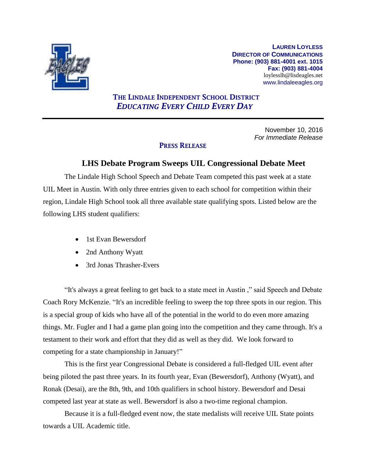

**LAUREN LOYLESS DIRECTOR OF COMMUNICATIONS Phone: (903) 881-4001 ext. 1015 Fax: (903) 881-4004** loylesslh@lisdeagles.net www.lindaleeagles.org

## **THE LINDALE INDEPENDENT SCHOOL DISTRICT** *EDUCATING EVERY CHILD EVERY DAY*

November 10, 2016 *For Immediate Release*

## **PRESS RELEASE**

## **LHS Debate Program Sweeps UIL Congressional Debate Meet**

The Lindale High School Speech and Debate Team competed this past week at a state UIL Meet in Austin. With only three entries given to each school for competition within their region, Lindale High School took all three available state qualifying spots. Listed below are the following LHS student qualifiers:

- 1st Evan Bewersdorf
- 2nd Anthony Wyatt
- 3rd Jonas Thrasher-Evers

"It's always a great feeling to get back to a state meet in Austin ," said Speech and Debate Coach Rory McKenzie. "It's an incredible feeling to sweep the top three spots in our region. This is a special group of kids who have all of the potential in the world to do even more amazing things. Mr. Fugler and I had a game plan going into the competition and they came through. It's a testament to their work and effort that they did as well as they did. We look forward to competing for a state championship in January!"

This is the first year Congressional Debate is considered a full-fledged UIL event after being piloted the past three years. In its fourth year, Evan (Bewersdorf), Anthony (Wyatt), and Ronak (Desai), are the 8th, 9th, and 10th qualifiers in school history. Bewersdorf and Desai competed last year at state as well. Bewersdorf is also a two-time regional champion.

Because it is a full-fledged event now, the state medalists will receive UIL State points towards a UIL Academic title.